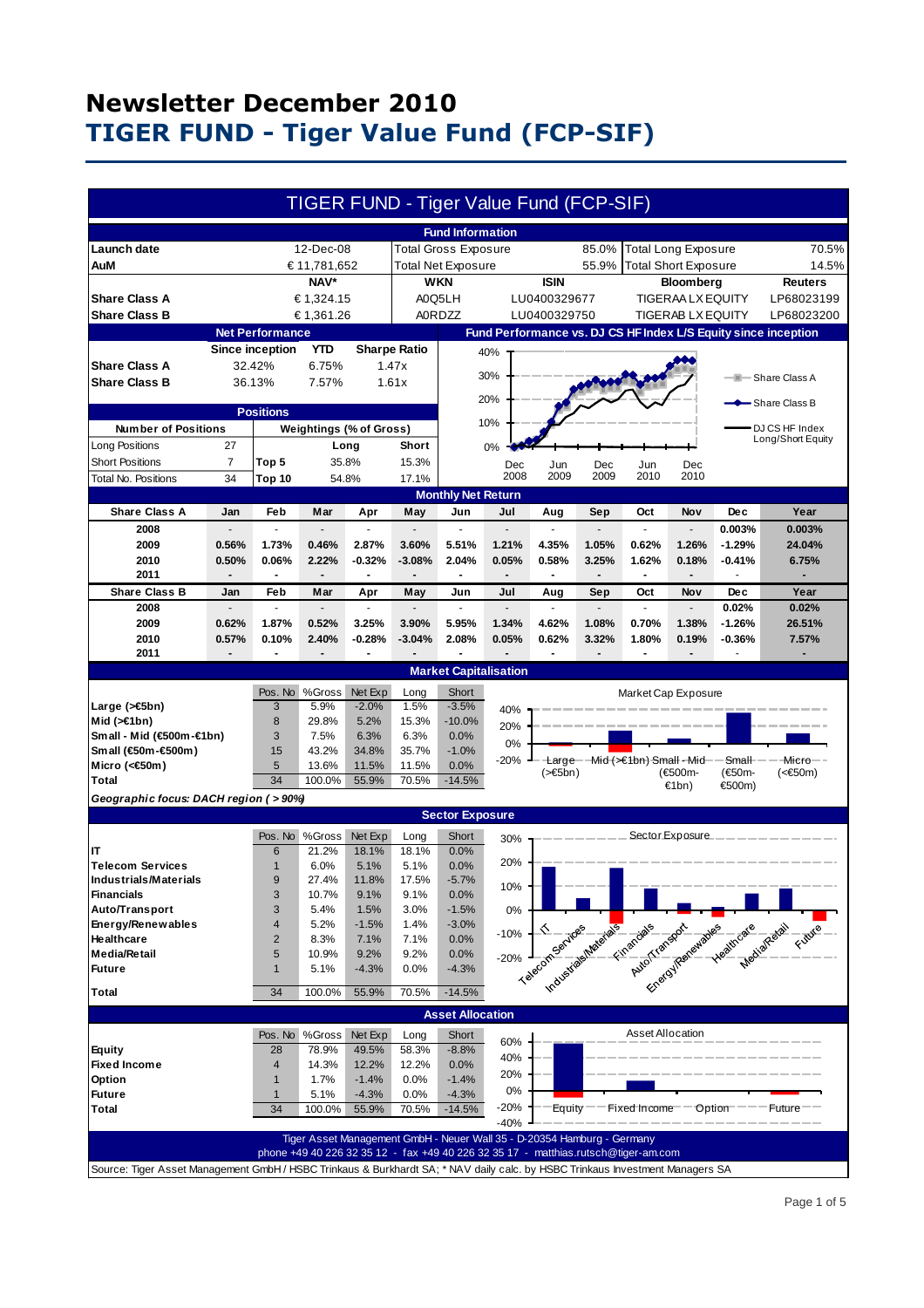|                                                                                                                               |                          |                          |                          |                 |                     | TIGER FUND - Tiger Value Fund (FCP-SIF)                                 |                |                          |                          |                                                                                    |                            |                                                                                                                                                                                                                                                                                                                   |                                                                                                                                                                                                                                |
|-------------------------------------------------------------------------------------------------------------------------------|--------------------------|--------------------------|--------------------------|-----------------|---------------------|-------------------------------------------------------------------------|----------------|--------------------------|--------------------------|------------------------------------------------------------------------------------|----------------------------|-------------------------------------------------------------------------------------------------------------------------------------------------------------------------------------------------------------------------------------------------------------------------------------------------------------------|--------------------------------------------------------------------------------------------------------------------------------------------------------------------------------------------------------------------------------|
|                                                                                                                               |                          |                          |                          |                 |                     | <b>Fund Information</b>                                                 |                |                          |                          |                                                                                    |                            |                                                                                                                                                                                                                                                                                                                   |                                                                                                                                                                                                                                |
| Launch date                                                                                                                   |                          |                          | 12-Dec-08                |                 |                     | <b>Total Gross Exposure</b>                                             |                |                          | 85.0%                    |                                                                                    | <b>Total Long Exposure</b> |                                                                                                                                                                                                                                                                                                                   | 70.5%                                                                                                                                                                                                                          |
| AuM                                                                                                                           |                          |                          | € 11,781,652             |                 |                     | <b>Total Net Exposure</b>                                               |                |                          | 55.9%                    | <b>Total Short Exposure</b>                                                        |                            |                                                                                                                                                                                                                                                                                                                   | 14.5%                                                                                                                                                                                                                          |
|                                                                                                                               |                          |                          | NAV*                     |                 |                     | <b>WKN</b>                                                              |                | <b>ISIN</b>              |                          |                                                                                    | Bloomberg                  |                                                                                                                                                                                                                                                                                                                   | <b>Reuters</b>                                                                                                                                                                                                                 |
| <b>Share Class A</b>                                                                                                          |                          |                          | € 1,324.15               |                 |                     | A0Q5LH                                                                  |                | LU0400329677             |                          |                                                                                    | <b>TIGERAA LX EQUITY</b>   |                                                                                                                                                                                                                                                                                                                   | LP68023199                                                                                                                                                                                                                     |
| <b>Share Class B</b>                                                                                                          |                          |                          | € 1,361.26               |                 |                     | <b>A0RDZZ</b>                                                           |                | LU0400329750             |                          |                                                                                    | <b>TIGERAB LX EQUITY</b>   |                                                                                                                                                                                                                                                                                                                   | LP68023200                                                                                                                                                                                                                     |
|                                                                                                                               |                          | <b>Net Performance</b>   |                          |                 |                     |                                                                         |                |                          |                          |                                                                                    |                            |                                                                                                                                                                                                                                                                                                                   | Fund Performance vs. DJ CS HF Index L/S Equity since inception                                                                                                                                                                 |
|                                                                                                                               |                          | <b>Since inception</b>   | <b>YTD</b>               |                 | <b>Sharpe Ratio</b> |                                                                         | 40%            |                          |                          |                                                                                    |                            |                                                                                                                                                                                                                                                                                                                   |                                                                                                                                                                                                                                |
| <b>Share Class A</b>                                                                                                          |                          | 32.42%                   | 6.75%                    |                 | 1.47x               |                                                                         |                |                          |                          |                                                                                    |                            |                                                                                                                                                                                                                                                                                                                   |                                                                                                                                                                                                                                |
| <b>Share Class B</b>                                                                                                          |                          | 36.13%                   | 7.57%                    |                 | 1.61x               |                                                                         | 30%            |                          |                          |                                                                                    |                            |                                                                                                                                                                                                                                                                                                                   | - Share Class A                                                                                                                                                                                                                |
|                                                                                                                               |                          |                          |                          |                 |                     |                                                                         | 20%            |                          |                          |                                                                                    |                            |                                                                                                                                                                                                                                                                                                                   |                                                                                                                                                                                                                                |
|                                                                                                                               |                          | <b>Positions</b>         |                          |                 |                     |                                                                         |                |                          |                          |                                                                                    |                            |                                                                                                                                                                                                                                                                                                                   | -Share Class B                                                                                                                                                                                                                 |
| <b>Number of Positions</b>                                                                                                    |                          |                          | Weightings (% of Gross)  |                 |                     |                                                                         | 10%            |                          |                          |                                                                                    |                            |                                                                                                                                                                                                                                                                                                                   | DJ CS HF Index                                                                                                                                                                                                                 |
| Long Positions                                                                                                                | 27                       |                          |                          | Long            | Short               |                                                                         | 0%             |                          |                          |                                                                                    |                            |                                                                                                                                                                                                                                                                                                                   | Long/Short Equity                                                                                                                                                                                                              |
| <b>Short Positions</b>                                                                                                        | 7                        | Top 5                    |                          | 35.8%           | 15.3%               |                                                                         | Dec            | Jun                      | Dec                      | Jun                                                                                | Dec                        |                                                                                                                                                                                                                                                                                                                   |                                                                                                                                                                                                                                |
| Total No. Positions                                                                                                           | 34                       | Top 10                   |                          | 54.8%           | 17.1%               |                                                                         | 2008           | 2009                     | 2009                     | 2010                                                                               | 2010                       |                                                                                                                                                                                                                                                                                                                   |                                                                                                                                                                                                                                |
|                                                                                                                               |                          |                          |                          |                 |                     | <b>Monthly Net Return</b>                                               |                |                          |                          |                                                                                    |                            |                                                                                                                                                                                                                                                                                                                   |                                                                                                                                                                                                                                |
| <b>Share Class A</b>                                                                                                          | Jan                      | <b>Feb</b>               | Mar                      | Apr             | May                 | Jun                                                                     | Jul            | Aug                      | Sep                      | Oct                                                                                | Nov                        | <b>Dec</b>                                                                                                                                                                                                                                                                                                        | Year                                                                                                                                                                                                                           |
| 2008                                                                                                                          |                          | ä,                       |                          |                 |                     | ÷.                                                                      |                |                          | $\overline{\phantom{a}}$ | $\overline{\phantom{a}}$                                                           | $\overline{\phantom{a}}$   | 0.003%                                                                                                                                                                                                                                                                                                            | 0.003%                                                                                                                                                                                                                         |
| 2009                                                                                                                          | 0.56%                    | 1.73%                    | 0.46%                    | 2.87%           | 3.60%               | 5.51%                                                                   | 1.21%          | 4.35%                    | 1.05%                    | 0.62%                                                                              | 1.26%                      | $-1.29%$                                                                                                                                                                                                                                                                                                          | 24.04%                                                                                                                                                                                                                         |
| 2010                                                                                                                          | 0.50%                    | 0.06%                    | 2.22%                    | $-0.32%$        | $-3.08%$            | 2.04%                                                                   | 0.05%          | 0.58%                    | 3.25%                    | 1.62%                                                                              | 0.18%                      | $-0.41%$                                                                                                                                                                                                                                                                                                          | 6.75%                                                                                                                                                                                                                          |
| 2011                                                                                                                          | ٠                        | $\blacksquare$           | $\blacksquare$           | ٠               |                     | $\blacksquare$                                                          | $\overline{a}$ | $\overline{\phantom{a}}$ | $\overline{\phantom{0}}$ | $\blacksquare$                                                                     | $\blacksquare$             |                                                                                                                                                                                                                                                                                                                   |                                                                                                                                                                                                                                |
| <b>Share Class B</b>                                                                                                          | Jan                      | Feb                      | Mar                      | Apr             | May                 | Jun                                                                     | Jul            | Aug                      | Sep                      | Oct                                                                                | <b>Nov</b>                 | <b>Dec</b>                                                                                                                                                                                                                                                                                                        | Year                                                                                                                                                                                                                           |
| 2008                                                                                                                          | $\overline{a}$           | $\overline{\phantom{a}}$ | $\overline{a}$           | ä,              |                     | $\overline{a}$                                                          | $\overline{a}$ | ÷.                       | $\blacksquare$           | ä,                                                                                 | $\overline{\phantom{a}}$   | 0.02%                                                                                                                                                                                                                                                                                                             | 0.02%                                                                                                                                                                                                                          |
| 2009                                                                                                                          | 0.62%                    | 1.87%                    | 0.52%                    | 3.25%           | 3.90%               | 5.95%                                                                   | 1.34%          | 4.62%                    | 1.08%                    | 0.70%                                                                              | 1.38%                      | $-1.26%$                                                                                                                                                                                                                                                                                                          | 26.51%                                                                                                                                                                                                                         |
| 2010                                                                                                                          | 0.57%                    | 0.10%                    | 2.40%                    | $-0.28%$        | $-3.04%$            | 2.08%                                                                   | 0.05%          | 0.62%                    | 3.32%                    | 1.80%                                                                              | 0.19%                      | $-0.36%$                                                                                                                                                                                                                                                                                                          | 7.57%                                                                                                                                                                                                                          |
| 2011                                                                                                                          | $\overline{\phantom{a}}$ | $\blacksquare$           | $\overline{\phantom{a}}$ | $\blacksquare$  |                     |                                                                         | $\overline{a}$ | $\blacksquare$           | $\overline{a}$           | $\blacksquare$                                                                     |                            | ä,                                                                                                                                                                                                                                                                                                                | $\blacksquare$                                                                                                                                                                                                                 |
| <b>Market Capitalisation</b>                                                                                                  |                          |                          |                          |                 |                     |                                                                         |                |                          |                          |                                                                                    |                            |                                                                                                                                                                                                                                                                                                                   |                                                                                                                                                                                                                                |
|                                                                                                                               |                          | Pos. No                  | %Gross                   | Net Exp         | Long                | Short                                                                   |                |                          |                          | Market Cap Exposure                                                                |                            |                                                                                                                                                                                                                                                                                                                   |                                                                                                                                                                                                                                |
| Large (>€5bn)                                                                                                                 |                          | 3                        | 5.9%                     | $-2.0%$         | 1.5%                | $-3.5%$                                                                 | 40%            |                          |                          |                                                                                    |                            |                                                                                                                                                                                                                                                                                                                   |                                                                                                                                                                                                                                |
| Mid $($ > $\in$ 1bn)<br>Small - Mid (€500m-€1bn)                                                                              |                          | 8<br>3                   | 29.8%<br>7.5%            | 5.2%<br>6.3%    | 15.3%<br>6.3%       | $-10.0%$<br>0.0%                                                        | 20%            |                          |                          |                                                                                    |                            |                                                                                                                                                                                                                                                                                                                   |                                                                                                                                                                                                                                |
| Small (€50m-€500m)                                                                                                            |                          | 15                       | 43.2%                    | 34.8%           | 35.7%               | $-1.0%$                                                                 | 0%             |                          |                          |                                                                                    |                            |                                                                                                                                                                                                                                                                                                                   |                                                                                                                                                                                                                                |
| Micro (< $60$ m)                                                                                                              |                          | 5                        | 13.6%                    | 11.5%           | 11.5%               | 0.0%                                                                    | $-20%$         |                          |                          | Large--Mid (>€1bn) Small - Mid-                                                    |                            | Small-                                                                                                                                                                                                                                                                                                            | Micro-                                                                                                                                                                                                                         |
| <b>Total</b>                                                                                                                  |                          | 34                       | 100.0%                   | 55.9%           | 70.5%               | $-14.5%$                                                                |                | $(\geq \in 5$ bn)        |                          |                                                                                    | (€500m-<br>€1bn)           | (€50m-<br>€500m)                                                                                                                                                                                                                                                                                                  | (<€50m)                                                                                                                                                                                                                        |
| Geographic focus: DACH region ( > 90%)                                                                                        |                          |                          |                          |                 |                     |                                                                         |                |                          |                          |                                                                                    |                            |                                                                                                                                                                                                                                                                                                                   |                                                                                                                                                                                                                                |
| <b>Sector Exposure</b>                                                                                                        |                          |                          |                          |                 |                     |                                                                         |                |                          |                          |                                                                                    |                            |                                                                                                                                                                                                                                                                                                                   |                                                                                                                                                                                                                                |
|                                                                                                                               |                          |                          | Pos. No %Gross           | Net Exp         | Long                | Short                                                                   | 30%            |                          |                          |                                                                                    |                            | Sector Exposure. $\frac{1}{2}$ $\frac{1}{2}$ $\frac{1}{2}$ $\frac{1}{2}$ $\frac{1}{2}$ $\frac{1}{2}$ $\frac{1}{2}$ $\frac{1}{2}$ $\frac{1}{2}$ $\frac{1}{2}$ $\frac{1}{2}$ $\frac{1}{2}$ $\frac{1}{2}$ $\frac{1}{2}$ $\frac{1}{2}$ $\frac{1}{2}$ $\frac{1}{2}$ $\frac{1}{2}$ $\frac{1}{2}$ $\frac{1}{2}$ $\frac{$ |                                                                                                                                                                                                                                |
| IT                                                                                                                            |                          | 6                        | 21.2%                    | 18.1%           | 18.1%               | 0.0%                                                                    |                |                          |                          |                                                                                    |                            |                                                                                                                                                                                                                                                                                                                   |                                                                                                                                                                                                                                |
| <b>Telecom Services</b>                                                                                                       |                          | $\mathbf{1}$             | 6.0%                     | 5.1%            | 5.1%                | 0.0%                                                                    | 20%            |                          |                          |                                                                                    |                            |                                                                                                                                                                                                                                                                                                                   |                                                                                                                                                                                                                                |
| <b>Industrials/Materials</b>                                                                                                  |                          | 9                        | 27.4%                    | 11.8%           | 17.5%               | $-5.7%$                                                                 | 10%            |                          |                          |                                                                                    |                            |                                                                                                                                                                                                                                                                                                                   |                                                                                                                                                                                                                                |
| <b>Financials</b>                                                                                                             |                          | 3                        | 10.7%                    | 9.1%            | 9.1%                | 0.0%                                                                    |                |                          |                          |                                                                                    |                            |                                                                                                                                                                                                                                                                                                                   |                                                                                                                                                                                                                                |
| Auto/Transport                                                                                                                |                          | 3                        | 5.4%                     | 1.5%            | 3.0%                | $-1.5%$                                                                 | $0\%$          |                          |                          |                                                                                    |                            |                                                                                                                                                                                                                                                                                                                   | 1% A contract the materials and the material state of the contract of the contract of the contract of the contract of the contract of the contract of the contract of the contract of the contract of the contract of the cont |
| Energy/Renewables<br>Healthcare                                                                                               |                          | 4<br>$\overline{2}$      | 5.2%<br>8.3%             | $-1.5%$<br>7.1% | 1.4%<br>7.1%        | $-3.0%$                                                                 | $-10%$         |                          |                          |                                                                                    |                            |                                                                                                                                                                                                                                                                                                                   |                                                                                                                                                                                                                                |
| <b>Media/Retail</b>                                                                                                           |                          | 5                        | 10.9%                    | 9.2%            | 9.2%                | 0.0%<br>0.0%                                                            |                |                          |                          |                                                                                    |                            |                                                                                                                                                                                                                                                                                                                   |                                                                                                                                                                                                                                |
| <b>Future</b>                                                                                                                 |                          | $\mathbf{1}$             | 5.1%                     | $-4.3%$         | 0.0%                | $-4.3%$                                                                 | $-20%$         |                          |                          |                                                                                    |                            |                                                                                                                                                                                                                                                                                                                   |                                                                                                                                                                                                                                |
|                                                                                                                               |                          |                          |                          |                 |                     |                                                                         |                |                          |                          |                                                                                    |                            |                                                                                                                                                                                                                                                                                                                   |                                                                                                                                                                                                                                |
| <b>Total</b>                                                                                                                  |                          | 34                       | 100.0%                   | 55.9%           | 70.5%               | $-14.5%$                                                                |                |                          |                          |                                                                                    |                            |                                                                                                                                                                                                                                                                                                                   |                                                                                                                                                                                                                                |
|                                                                                                                               |                          |                          |                          |                 |                     | <b>Asset Allocation</b>                                                 |                |                          |                          |                                                                                    |                            |                                                                                                                                                                                                                                                                                                                   |                                                                                                                                                                                                                                |
|                                                                                                                               |                          |                          | Pos. No %Gross           | Net Exp         | Long                | Short                                                                   | 60%            |                          |                          | Asset Allocation                                                                   |                            |                                                                                                                                                                                                                                                                                                                   |                                                                                                                                                                                                                                |
| <b>Equity</b>                                                                                                                 |                          | 28                       | 78.9%                    | 49.5%           | 58.3%               | $-8.8%$                                                                 | 40%            |                          |                          |                                                                                    |                            |                                                                                                                                                                                                                                                                                                                   |                                                                                                                                                                                                                                |
| <b>Fixed Income</b>                                                                                                           |                          | 4                        | 14.3%                    | 12.2%           | 12.2%               | 0.0%                                                                    | 20%            |                          |                          |                                                                                    |                            |                                                                                                                                                                                                                                                                                                                   |                                                                                                                                                                                                                                |
| Option                                                                                                                        |                          | $\mathbf{1}$             | 1.7%                     | $-1.4%$         | 0.0%                | $-1.4%$                                                                 | 0%             |                          |                          |                                                                                    |                            |                                                                                                                                                                                                                                                                                                                   |                                                                                                                                                                                                                                |
| <b>Future</b>                                                                                                                 |                          | $\mathbf{1}$             | 5.1%                     | $-4.3%$         | 0.0%                | $-4.3%$                                                                 | -20%           |                          |                          | $Equity$ – Fixed Income – $Option$                                                 |                            |                                                                                                                                                                                                                                                                                                                   | $---$ Future $-$                                                                                                                                                                                                               |
| <b>Total</b>                                                                                                                  |                          | 34                       | 100.0%                   | 55.9%           | 70.5%               | $-14.5%$                                                                | $-40%$         |                          |                          |                                                                                    |                            |                                                                                                                                                                                                                                                                                                                   |                                                                                                                                                                                                                                |
|                                                                                                                               |                          |                          |                          |                 |                     | Tiger Asset Management GmbH - Neuer Wall 35 - D-20354 Hamburg - Germany |                |                          |                          |                                                                                    |                            |                                                                                                                                                                                                                                                                                                                   |                                                                                                                                                                                                                                |
|                                                                                                                               |                          |                          |                          |                 |                     |                                                                         |                |                          |                          | phone +49 40 226 32 35 12 - fax +49 40 226 32 35 17 - matthias.rutsch@tiger-am.com |                            |                                                                                                                                                                                                                                                                                                                   |                                                                                                                                                                                                                                |
| Source: Tiger Asset Management GmbH / HSBC Trinkaus & Burkhardt SA; * NAV daily calc. by HSBC Trinkaus Investment Managers SA |                          |                          |                          |                 |                     |                                                                         |                |                          |                          |                                                                                    |                            |                                                                                                                                                                                                                                                                                                                   |                                                                                                                                                                                                                                |
|                                                                                                                               |                          |                          |                          |                 |                     |                                                                         |                |                          |                          |                                                                                    |                            |                                                                                                                                                                                                                                                                                                                   |                                                                                                                                                                                                                                |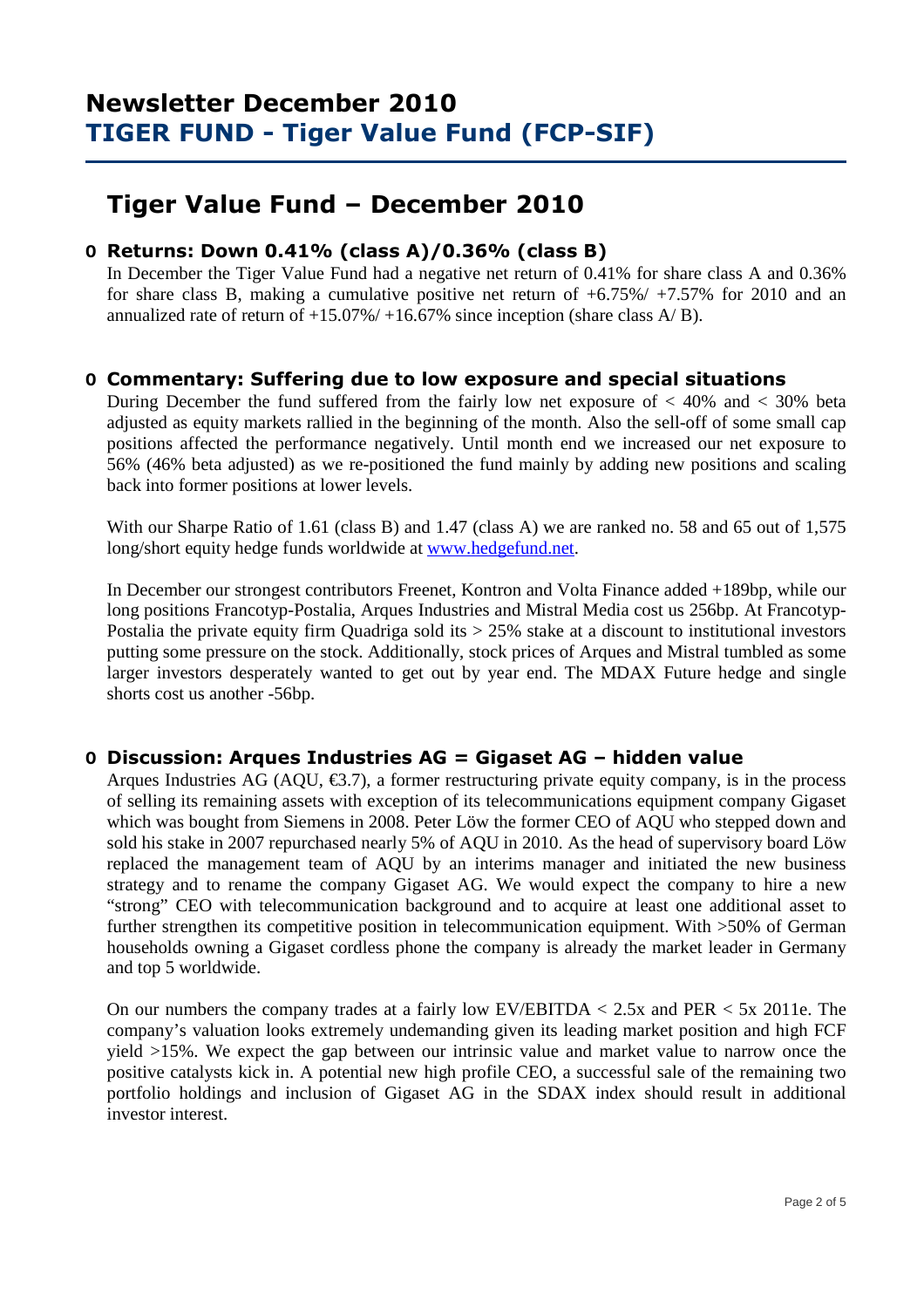## **Tiger Value Fund – December 2010**

## **O Returns: Down 0.41% (class A)/0.36% (class B)**

 In December the Tiger Value Fund had a negative net return of 0.41% for share class A and 0.36% for share class B, making a cumulative positive net return of  $+6.75\% / +7.57\%$  for 2010 and an annualized rate of return of  $+15.07\% / +16.67\%$  since inception (share class A/B).

## **O Commentary: Suffering due to low exposure and special situations**

During December the fund suffered from the fairly low net exposure of  $\langle 40\% \rangle$  and  $\langle 30\% \rangle$  beta adjusted as equity markets rallied in the beginning of the month. Also the sell-off of some small cap positions affected the performance negatively. Until month end we increased our net exposure to 56% (46% beta adjusted) as we re-positioned the fund mainly by adding new positions and scaling back into former positions at lower levels.

With our Sharpe Ratio of 1.61 (class B) and 1.47 (class A) we are ranked no. 58 and 65 out of 1,575 long/short equity hedge funds worldwide at www.hedgefund.net.

In December our strongest contributors Freenet, Kontron and Volta Finance added +189bp, while our long positions Francotyp-Postalia, Arques Industries and Mistral Media cost us 256bp. At Francotyp-Postalia the private equity firm Quadriga sold its  $> 25\%$  stake at a discount to institutional investors putting some pressure on the stock. Additionally, stock prices of Arques and Mistral tumbled as some larger investors desperately wanted to get out by year end. The MDAX Future hedge and single shorts cost us another -56bp.

## **O Discussion: Arques Industries AG = Gigaset AG – hidden value**

Arques Industries AG (AQU,  $\epsilon$ 3.7), a former restructuring private equity company, is in the process of selling its remaining assets with exception of its telecommunications equipment company Gigaset which was bought from Siemens in 2008. Peter Löw the former CEO of AQU who stepped down and sold his stake in 2007 repurchased nearly 5% of AQU in 2010. As the head of supervisory board Löw replaced the management team of AQU by an interims manager and initiated the new business strategy and to rename the company Gigaset AG. We would expect the company to hire a new "strong" CEO with telecommunication background and to acquire at least one additional asset to further strengthen its competitive position in telecommunication equipment. With >50% of German households owning a Gigaset cordless phone the company is already the market leader in Germany and top 5 worldwide.

On our numbers the company trades at a fairly low EV/EBITDA < 2.5x and PER < 5x 2011e. The company's valuation looks extremely undemanding given its leading market position and high FCF yield >15%. We expect the gap between our intrinsic value and market value to narrow once the positive catalysts kick in. A potential new high profile CEO, a successful sale of the remaining two portfolio holdings and inclusion of Gigaset AG in the SDAX index should result in additional investor interest.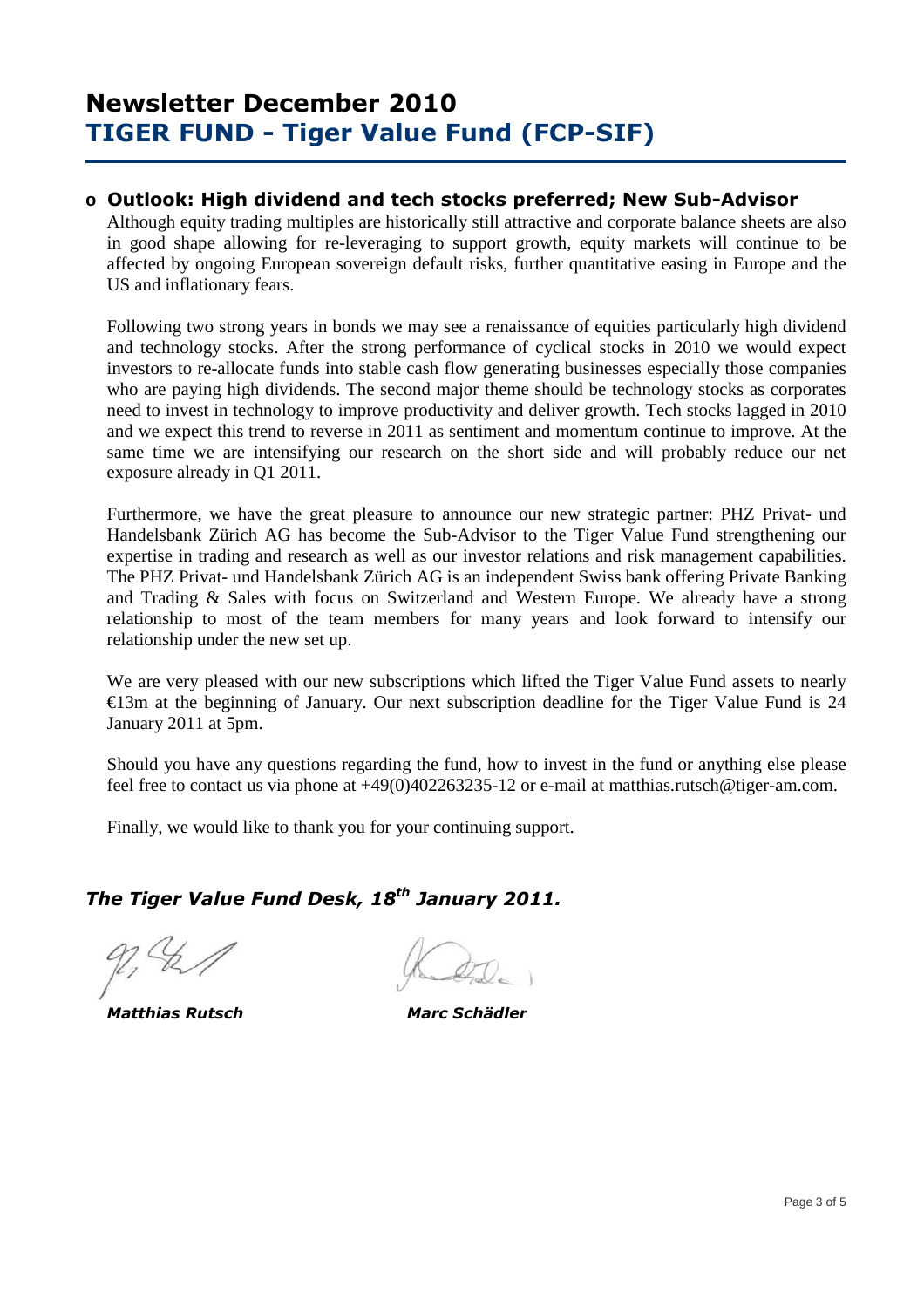### **o Outlook: High dividend and tech stocks preferred; New Sub-Advisor**

Although equity trading multiples are historically still attractive and corporate balance sheets are also in good shape allowing for re-leveraging to support growth, equity markets will continue to be affected by ongoing European sovereign default risks, further quantitative easing in Europe and the US and inflationary fears.

Following two strong years in bonds we may see a renaissance of equities particularly high dividend and technology stocks. After the strong performance of cyclical stocks in 2010 we would expect investors to re-allocate funds into stable cash flow generating businesses especially those companies who are paying high dividends. The second major theme should be technology stocks as corporates need to invest in technology to improve productivity and deliver growth. Tech stocks lagged in 2010 and we expect this trend to reverse in 2011 as sentiment and momentum continue to improve. At the same time we are intensifying our research on the short side and will probably reduce our net exposure already in Q1 2011.

Furthermore, we have the great pleasure to announce our new strategic partner: PHZ Privat- und Handelsbank Zürich AG has become the Sub-Advisor to the Tiger Value Fund strengthening our expertise in trading and research as well as our investor relations and risk management capabilities. The PHZ Privat- und Handelsbank Zürich AG is an independent Swiss bank offering Private Banking and Trading & Sales with focus on Switzerland and Western Europe. We already have a strong relationship to most of the team members for many years and look forward to intensify our relationship under the new set up.

We are very pleased with our new subscriptions which lifted the Tiger Value Fund assets to nearly  $\epsilon$ 13m at the beginning of January. Our next subscription deadline for the Tiger Value Fund is 24 January 2011 at 5pm.

Should you have any questions regarding the fund, how to invest in the fund or anything else please feel free to contact us via phone at +49(0)402263235-12 or e-mail at matthias.rutsch@tiger-am.com.

Finally, we would like to thank you for your continuing support.

## *The Tiger Value Fund Desk, 18th January 2011.*

 *Matthias Rutsch Marc Schädler*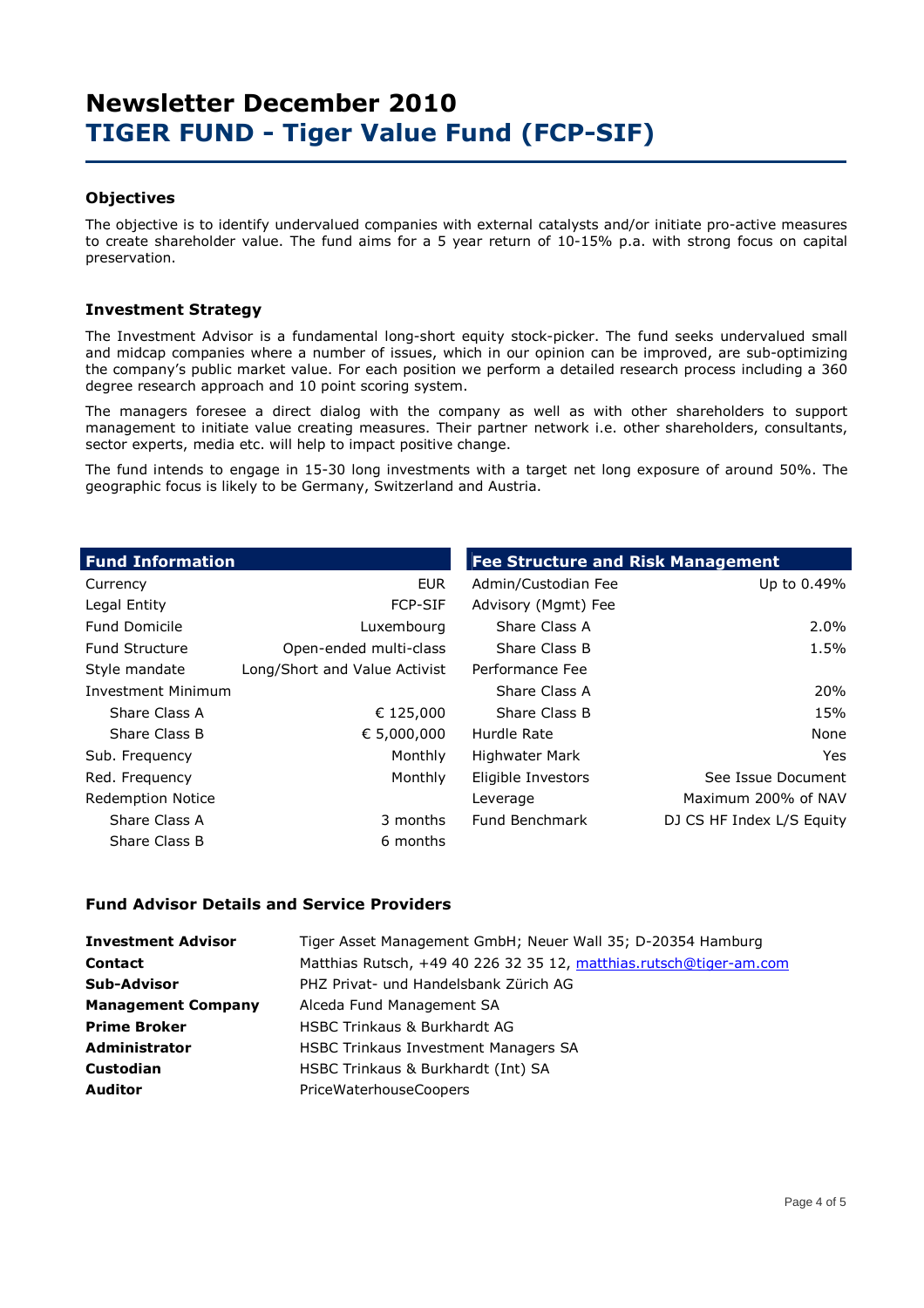### **Objectives**

The objective is to identify undervalued companies with external catalysts and/or initiate pro-active measures to create shareholder value. The fund aims for a 5 year return of 10-15% p.a. with strong focus on capital preservation.

### **Investment Strategy**

The Investment Advisor is a fundamental long-short equity stock-picker. The fund seeks undervalued small and midcap companies where a number of issues, which in our opinion can be improved, are sub-optimizing the company's public market value. For each position we perform a detailed research process including a 360 degree research approach and 10 point scoring system.

The managers foresee a direct dialog with the company as well as with other shareholders to support management to initiate value creating measures. Their partner network i.e. other shareholders, consultants, sector experts, media etc. will help to impact positive change.

The fund intends to engage in 15-30 long investments with a target net long exposure of around 50%. The geographic focus is likely to be Germany, Switzerland and Austria.

| <b>Fund Information</b>   |                               | <b>Fee Structure and Risk Management</b> |                           |  |  |  |  |
|---------------------------|-------------------------------|------------------------------------------|---------------------------|--|--|--|--|
| Currency                  | <b>EUR</b>                    | Admin/Custodian Fee                      | Up to 0.49%               |  |  |  |  |
| Legal Entity              | <b>FCP-SIF</b>                | Advisory (Mgmt) Fee                      |                           |  |  |  |  |
| <b>Fund Domicile</b>      | Luxembourg                    | Share Class A                            | 2.0%                      |  |  |  |  |
| <b>Fund Structure</b>     | Open-ended multi-class        | Share Class B                            | 1.5%                      |  |  |  |  |
| Style mandate             | Long/Short and Value Activist | Performance Fee                          |                           |  |  |  |  |
| <b>Investment Minimum</b> |                               | Share Class A                            | 20%                       |  |  |  |  |
| Share Class A             | € 125,000                     | Share Class B                            | 15%                       |  |  |  |  |
| Share Class B             | € 5,000,000                   | Hurdle Rate                              | None                      |  |  |  |  |
| Sub. Frequency            | Monthly                       | Highwater Mark                           | Yes.                      |  |  |  |  |
| Red. Frequency            | Monthly                       | Eligible Investors                       | See Issue Document        |  |  |  |  |
| <b>Redemption Notice</b>  |                               | Leverage                                 | Maximum 200% of NAV       |  |  |  |  |
| Share Class A             | 3 months                      | Fund Benchmark                           | DJ CS HF Index L/S Equity |  |  |  |  |
| Share Class B             | 6 months                      |                                          |                           |  |  |  |  |

### **Fund Advisor Details and Service Providers**

| <b>Investment Advisor</b> | Tiger Asset Management GmbH; Neuer Wall 35; D-20354 Hamburg        |
|---------------------------|--------------------------------------------------------------------|
| <b>Contact</b>            | Matthias Rutsch, +49 40 226 32 35 12, matthias.rutsch@tiger-am.com |
| <b>Sub-Advisor</b>        | PHZ Privat- und Handelsbank Zürich AG                              |
| <b>Management Company</b> | Alceda Fund Management SA                                          |
| <b>Prime Broker</b>       | <b>HSBC Trinkaus &amp; Burkhardt AG</b>                            |
| <b>Administrator</b>      | <b>HSBC Trinkaus Investment Managers SA</b>                        |
| <b>Custodian</b>          | HSBC Trinkaus & Burkhardt (Int) SA                                 |
| <b>Auditor</b>            | PriceWaterhouseCoopers                                             |